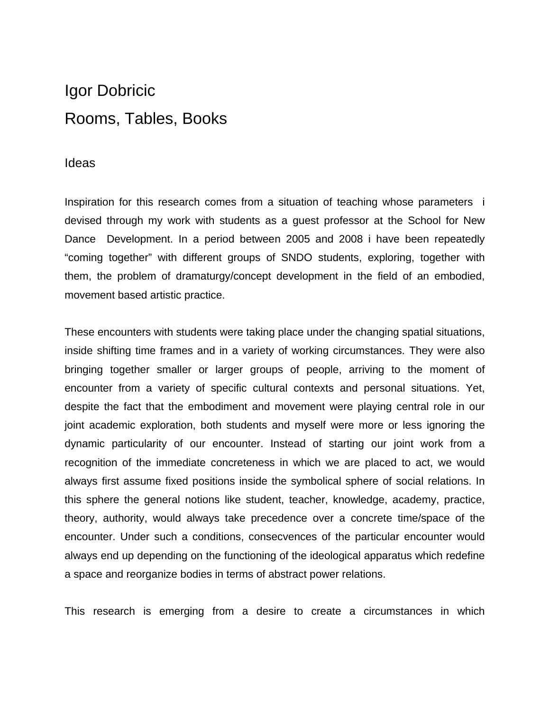# Igor Dobricic Rooms, Tables, Books

## Ideas

Inspiration for this research comes from a situation of teaching whose parameters i devised through my work with students as a guest professor at the School for New Dance Development. In a period between 2005 and 2008 i have been repeatedly "coming together" with different groups of SNDO students, exploring, together with them, the problem of dramaturgy/concept development in the field of an embodied, movement based artistic practice.

These encounters with students were taking place under the changing spatial situations, inside shifting time frames and in a variety of working circumstances. They were also bringing together smaller or larger groups of people, arriving to the moment of encounter from a variety of specific cultural contexts and personal situations. Yet, despite the fact that the embodiment and movement were playing central role in our joint academic exploration, both students and myself were more or less ignoring the dynamic particularity of our encounter. Instead of starting our joint work from a recognition of the immediate concreteness in which we are placed to act, we would always first assume fixed positions inside the symbolical sphere of social relations. In this sphere the general notions like student, teacher, knowledge, academy, practice, theory, authority, would always take precedence over a concrete time/space of the encounter. Under such a conditions, consecvences of the particular encounter would always end up depending on the functioning of the ideological apparatus which redefine a space and reorganize bodies in terms of abstract power relations.

This research is emerging from a desire to create a circumstances in which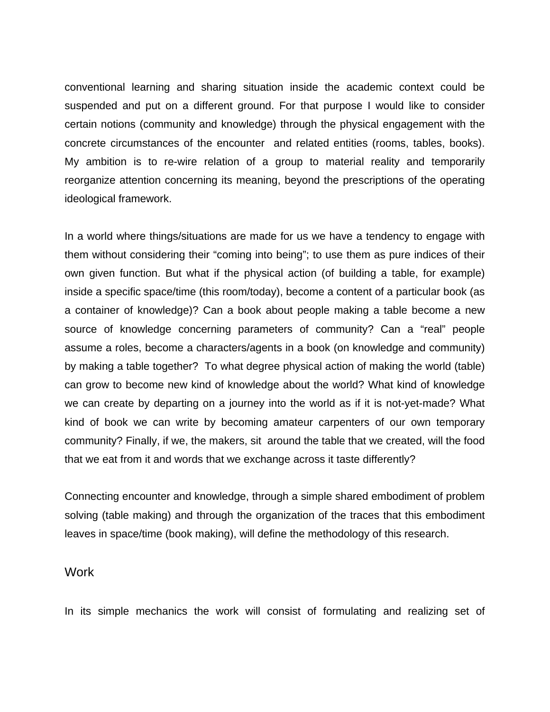conventional learning and sharing situation inside the academic context could be suspended and put on a different ground. For that purpose I would like to consider certain notions (community and knowledge) through the physical engagement with the concrete circumstances of the encounter and related entities (rooms, tables, books). My ambition is to re-wire relation of a group to material reality and temporarily reorganize attention concerning its meaning, beyond the prescriptions of the operating ideological framework.

In a world where things/situations are made for us we have a tendency to engage with them without considering their "coming into being"; to use them as pure indices of their own given function. But what if the physical action (of building a table, for example) inside a specific space/time (this room/today), become a content of a particular book (as a container of knowledge)? Can a book about people making a table become a new source of knowledge concerning parameters of community? Can a "real" people assume a roles, become a characters/agents in a book (on knowledge and community) by making a table together? To what degree physical action of making the world (table) can grow to become new kind of knowledge about the world? What kind of knowledge we can create by departing on a journey into the world as if it is not-yet-made? What kind of book we can write by becoming amateur carpenters of our own temporary community? Finally, if we, the makers, sit around the table that we created, will the food that we eat from it and words that we exchange across it taste differently?

Connecting encounter and knowledge, through a simple shared embodiment of problem solving (table making) and through the organization of the traces that this embodiment leaves in space/time (book making), will define the methodology of this research.

### **Work**

In its simple mechanics the work will consist of formulating and realizing set of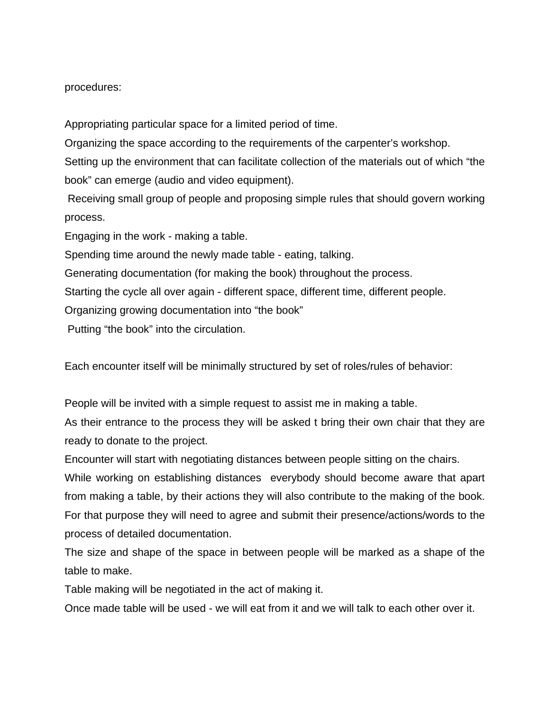#### procedures:

Appropriating particular space for a limited period of time.

Organizing the space according to the requirements of the carpenter's workshop.

Setting up the environment that can facilitate collection of the materials out of which "the book" can emerge (audio and video equipment).

 Receiving small group of people and proposing simple rules that should govern working process.

Engaging in the work - making a table.

Spending time around the newly made table - eating, talking.

Generating documentation (for making the book) throughout the process.

Starting the cycle all over again - different space, different time, different people.

Organizing growing documentation into "the book"

Putting "the book" into the circulation.

Each encounter itself will be minimally structured by set of roles/rules of behavior:

People will be invited with a simple request to assist me in making a table.

As their entrance to the process they will be asked t bring their own chair that they are ready to donate to the project.

Encounter will start with negotiating distances between people sitting on the chairs.

While working on establishing distances everybody should become aware that apart from making a table, by their actions they will also contribute to the making of the book. For that purpose they will need to agree and submit their presence/actions/words to the process of detailed documentation.

The size and shape of the space in between people will be marked as a shape of the table to make.

Table making will be negotiated in the act of making it.

Once made table will be used - we will eat from it and we will talk to each other over it.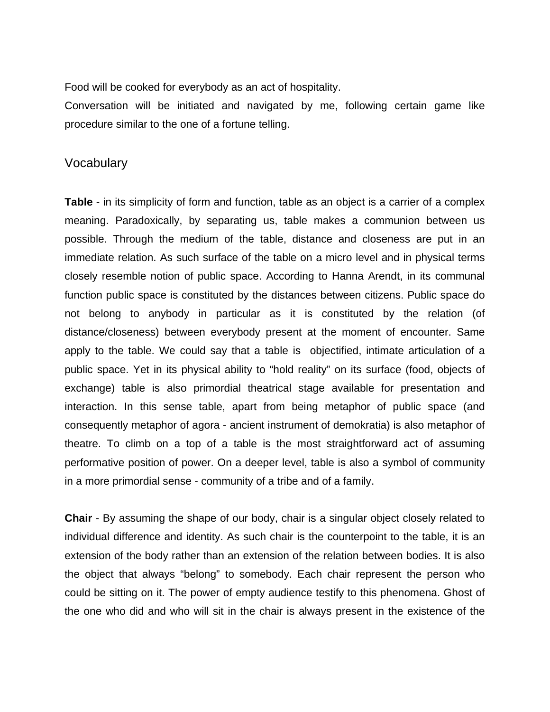Food will be cooked for everybody as an act of hospitality.

Conversation will be initiated and navigated by me, following certain game like procedure similar to the one of a fortune telling.

### **Vocabulary**

**Table** - in its simplicity of form and function, table as an object is a carrier of a complex meaning. Paradoxically, by separating us, table makes a communion between us possible. Through the medium of the table, distance and closeness are put in an immediate relation. As such surface of the table on a micro level and in physical terms closely resemble notion of public space. According to Hanna Arendt, in its communal function public space is constituted by the distances between citizens. Public space do not belong to anybody in particular as it is constituted by the relation (of distance/closeness) between everybody present at the moment of encounter. Same apply to the table. We could say that a table is objectified, intimate articulation of a public space. Yet in its physical ability to "hold reality" on its surface (food, objects of exchange) table is also primordial theatrical stage available for presentation and interaction. In this sense table, apart from being metaphor of public space (and consequently metaphor of agora - ancient instrument of demokratia) is also metaphor of theatre. To climb on a top of a table is the most straightforward act of assuming performative position of power. On a deeper level, table is also a symbol of community in a more primordial sense - community of a tribe and of a family.

**Chair** - By assuming the shape of our body, chair is a singular object closely related to individual difference and identity. As such chair is the counterpoint to the table, it is an extension of the body rather than an extension of the relation between bodies. It is also the object that always "belong" to somebody. Each chair represent the person who could be sitting on it. The power of empty audience testify to this phenomena. Ghost of the one who did and who will sit in the chair is always present in the existence of the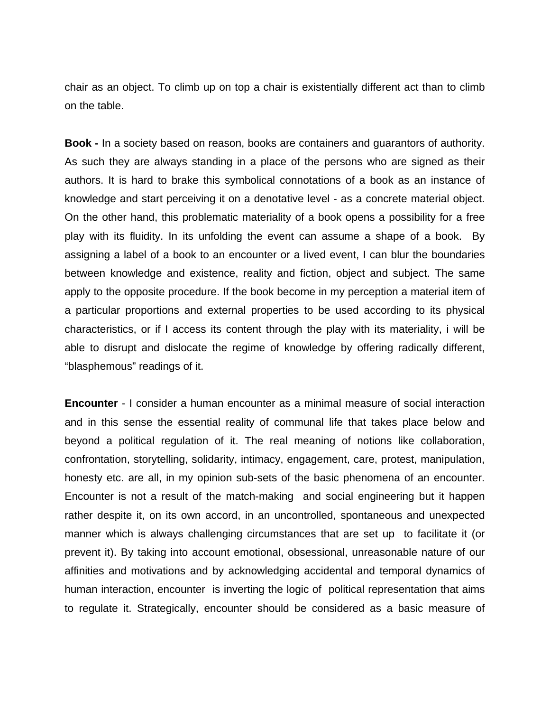chair as an object. To climb up on top a chair is existentially different act than to climb on the table.

**Book -** In a society based on reason, books are containers and guarantors of authority. As such they are always standing in a place of the persons who are signed as their authors. It is hard to brake this symbolical connotations of a book as an instance of knowledge and start perceiving it on a denotative level - as a concrete material object. On the other hand, this problematic materiality of a book opens a possibility for a free play with its fluidity. In its unfolding the event can assume a shape of a book. By assigning a label of a book to an encounter or a lived event, I can blur the boundaries between knowledge and existence, reality and fiction, object and subject. The same apply to the opposite procedure. If the book become in my perception a material item of a particular proportions and external properties to be used according to its physical characteristics, or if I access its content through the play with its materiality, i will be able to disrupt and dislocate the regime of knowledge by offering radically different, "blasphemous" readings of it.

**Encounter** - I consider a human encounter as a minimal measure of social interaction and in this sense the essential reality of communal life that takes place below and beyond a political regulation of it. The real meaning of notions like collaboration, confrontation, storytelling, solidarity, intimacy, engagement, care, protest, manipulation, honesty etc. are all, in my opinion sub-sets of the basic phenomena of an encounter. Encounter is not a result of the match-making and social engineering but it happen rather despite it, on its own accord, in an uncontrolled, spontaneous and unexpected manner which is always challenging circumstances that are set up to facilitate it (or prevent it). By taking into account emotional, obsessional, unreasonable nature of our affinities and motivations and by acknowledging accidental and temporal dynamics of human interaction, encounter is inverting the logic of political representation that aims to regulate it. Strategically, encounter should be considered as a basic measure of